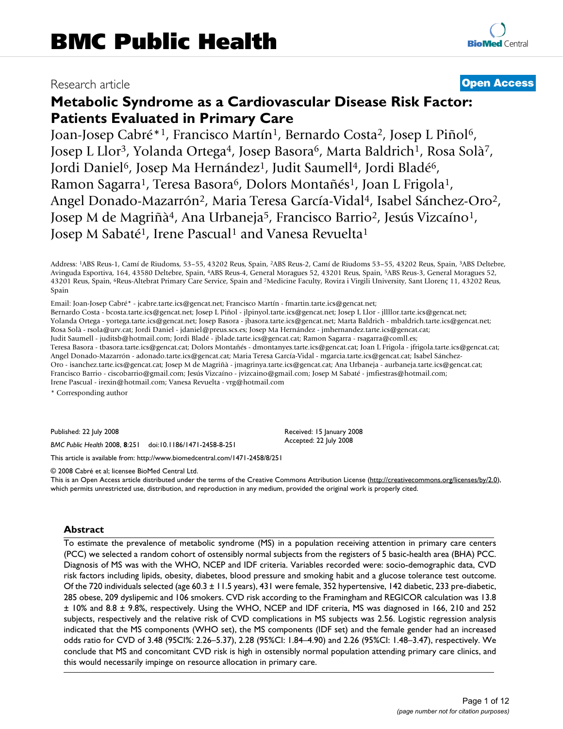## Research article **[Open Access](http://www.biomedcentral.com/info/about/charter/)**

# **Metabolic Syndrome as a Cardiovascular Disease Risk Factor: Patients Evaluated in Primary Care**

Joan-Josep Cabré\*<sup>1</sup>, Francisco Martín<sup>1</sup>, Bernardo Costa<sup>2</sup>, Josep L Piñol<sup>6</sup>, Josep L Llor<sup>3</sup>, Yolanda Ortega<sup>4</sup>, Josep Basora<sup>6</sup>, Marta Baldrich<sup>1</sup>, Rosa Solà<sup>7</sup>, Jordi Daniel<sup>6</sup>, Josep Ma Hernández<sup>1</sup>, Judit Saumell<sup>4</sup>, Jordi Bladé<sup>6</sup>, Ramon Sagarra<sup>1</sup>, Teresa Basora<sup>6</sup>, Dolors Montañés<sup>1</sup>, Joan L Frigola<sup>1</sup>, Angel Donado-Mazarrón2, Maria Teresa García-Vidal4, Isabel Sánchez-Oro2, Josep M de Magriñà<sup>4</sup>, Ana Urbaneja<sup>5</sup>, Francisco Barrio<sup>2</sup>, Jesús Vizcaíno<sup>1</sup>, Josep M Sabaté<sup>1</sup>, Irene Pascual<sup>1</sup> and Vanesa Revuelta<sup>1</sup>

Address: 1ABS Reus-1, Camí de Riudoms, 53–55, 43202 Reus, Spain, 2ABS Reus-2, Camí de Riudoms 53–55, 43202 Reus, Spain, 3ABS Deltebre, Avinguda Esportiva, 164, 43580 Deltebre, Spain, 4ABS Reus-4, General Moragues 52, 43201 Reus, Spain, 5ABS Reus-3, General Moragues 52, 43201 Reus, Spain, 6Reus-Altebrat Primary Care Service, Spain and 7Medicine Faculty, Rovira i Virgili University, Sant Llorenç 11, 43202 Reus, Spain

Email: Joan-Josep Cabré\* - jcabre.tarte.ics@gencat.net; Francisco Martín - fmartin.tarte.ics@gencat.net;

Bernardo Costa - bcosta.tarte.ics@gencat.net; Josep L Piñol - jlpinyol.tarte.ics@gencat.net; Josep L Llor - jllllor.tarte.ics@gencat.net; Yolanda Ortega - yortega.tarte.ics@gencat.net; Josep Basora - jbasora.tarte.ics@gencat.net; Marta Baldrich - mbaldrich.tarte.ics@gencat.net; Rosa Solà - rsola@urv.cat; Jordi Daniel - jdaniel@preus.scs.es; Josep Ma Hernández - jmhernandez.tarte.ics@gencat.cat; Judit Saumell - juditsb@hotmail.com; Jordi Bladé - jblade.tarte.ics@gencat.cat; Ramon Sagarra - rsagarra@comll.es; Teresa Basora - tbasora.tarte.ics@gencat.cat; Dolors Montañés - dmontanyes.tarte.ics@gencat.cat; Joan L Frigola - jfrigola.tarte.ics@gencat.cat; Angel Donado-Mazarrón - adonado.tarte.ics@gencat.cat; Maria Teresa García-Vidal - mgarcia.tarte.ics@gencat.cat; Isabel Sánchez-Oro - isanchez.tarte.ics@gencat.cat; Josep M de Magriñà - jmagrinya.tarte.ics@gencat.cat; Ana Urbaneja - aurbaneja.tarte.ics@gencat.cat; Francisco Barrio - ciscobarrio@gmail.com; Jesús Vizcaíno - jvizcaino@gmail.com; Josep M Sabaté - jmfiestras@hotmail.com; Irene Pascual - irexin@hotmail.com; Vanesa Revuelta - vrg@hotmail.com

\* Corresponding author

Published: 22 July 2008

*BMC Public Health* 2008, **8**:251 doi:10.1186/1471-2458-8-251

[This article is available from: http://www.biomedcentral.com/1471-2458/8/251](http://www.biomedcentral.com/1471-2458/8/251)

© 2008 Cabré et al; licensee BioMed Central Ltd.

This is an Open Access article distributed under the terms of the Creative Commons Attribution License [\(http://creativecommons.org/licenses/by/2.0\)](http://creativecommons.org/licenses/by/2.0), which permits unrestricted use, distribution, and reproduction in any medium, provided the original work is properly cited.

Received: 15 January 2008 Accepted: 22 July 2008

#### **Abstract**

To estimate the prevalence of metabolic syndrome (MS) in a population receiving attention in primary care centers (PCC) we selected a random cohort of ostensibly normal subjects from the registers of 5 basic-health area (BHA) PCC. Diagnosis of MS was with the WHO, NCEP and IDF criteria. Variables recorded were: socio-demographic data, CVD risk factors including lipids, obesity, diabetes, blood pressure and smoking habit and a glucose tolerance test outcome. Of the 720 individuals selected (age 60.3 ± 11.5 years), 431 were female, 352 hypertensive, 142 diabetic, 233 pre-diabetic, 285 obese, 209 dyslipemic and 106 smokers. CVD risk according to the Framingham and REGICOR calculation was 13.8 ± 10% and 8.8 ± 9.8%, respectively. Using the WHO, NCEP and IDF criteria, MS was diagnosed in 166, 210 and 252 subjects, respectively and the relative risk of CVD complications in MS subjects was 2.56. Logistic regression analysis indicated that the MS components (WHO set), the MS components (IDF set) and the female gender had an increased odds ratio for CVD of 3.48 (95CI%: 2.26–5.37), 2.28 (95%CI: 1.84–4.90) and 2.26 (95%CI: 1.48–3.47), respectively. We conclude that MS and concomitant CVD risk is high in ostensibly normal population attending primary care clinics, and this would necessarily impinge on resource allocation in primary care.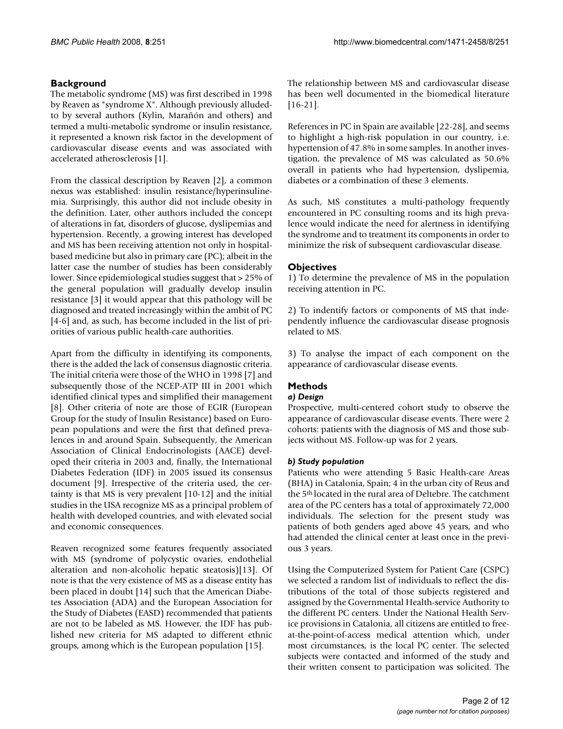#### **Background**

The metabolic syndrome (MS) was first described in 1998 by Reaven as "syndrome X". Although previously alludedto by several authors (Kylin, Marañón and others) and termed a multi-metabolic syndrome or insulin resistance, it represented a known risk factor in the development of cardiovascular disease events and was associated with accelerated atherosclerosis [[1\]](#page-10-0).

From the classical description by Reaven [\[2\]](#page-10-1), a common nexus was established: insulin resistance/hyperinsulinemia. Surprisingly, this author did not include obesity in the definition. Later, other authors included the concept of alterations in fat, disorders of glucose, dyslipemias and hypertension. Recently, a growing interest has developed and MS has been receiving attention not only in hospitalbased medicine but also in primary care (PC); albeit in the latter case the number of studies has been considerably lower. Since epidemiological studies suggest that > 25% of the general population will gradually develop insulin resistance [\[3](#page-10-2)] it would appear that this pathology will be diagnosed and treated increasingly within the ambit of PC [[4-](#page-10-3)[6](#page-10-4)] and, as such, has become included in the list of priorities of various public health-care authorities.

Apart from the difficulty in identifying its components, there is the added the lack of consensus diagnostic criteria. The initial criteria were those of the WHO in 1998 [\[7](#page-10-5)] and subsequently those of the NCEP-ATP III in 2001 which identified clinical types and simplified their management [[8\]](#page-10-6). Other criteria of note are those of EGIR (European Group for the study of Insulin Resistance) based on European populations and were the first that defined prevalences in and around Spain. Subsequently, the American Association of Clinical Endocrinologists (AACE) developed their criteria in 2003 and, finally, the International Diabetes Federation (IDF) in 2005 issued its consensus document [[9](#page-10-7)]. Irrespective of the criteria used, the certainty is that MS is very prevalent [\[10](#page-10-8)[-12\]](#page-10-9) and the initial studies in the USA recognize MS as a principal problem of health with developed countries, and with elevated social and economic consequences.

Reaven recognized some features frequently associated with MS (syndrome of polycystic ovaries, endothelial alteration and non-alcoholic hepatic steatosis)[\[13](#page-10-10)]. Of note is that the very existence of MS as a disease entity has been placed in doubt [[14\]](#page-10-11) such that the American Diabetes Association (ADA) and the European Association for the Study of Diabetes (EASD) recommended that patients are not to be labeled as MS. However, the IDF has published new criteria for MS adapted to different ethnic groups, among which is the European population [\[15](#page-11-0)].

The relationship between MS and cardiovascular disease has been well documented in the biomedical literature [[16](#page-11-1)[-21](#page-11-2)].

References in PC in Spain are available [\[22-](#page-11-3)[28\]](#page-11-4), and seems to highlight a high-risk population in our country, i.e. hypertension of 47.8% in some samples. In another investigation, the prevalence of MS was calculated as 50.6% overall in patients who had hypertension, dyslipemia, diabetes or a combination of these 3 elements.

As such, MS constitutes a multi-pathology frequently encountered in PC consulting rooms and its high prevalence would indicate the need for alertness in identifying the syndrome and to treatment its components in order to minimize the risk of subsequent cardiovascular disease.

#### **Objectives**

1) To determine the prevalence of MS in the population receiving attention in PC.

2) To indentify factors or components of MS that independently influence the cardiovascular disease prognosis related to MS.

3) To analyse the impact of each component on the appearance of cardiovascular disease events.

### **Methods**

#### *a) Design*

Prospective, multi-centered cohort study to observe the appearance of cardiovascular disease events. There were 2 cohorts: patients with the diagnosis of MS and those subjects without MS. Follow-up was for 2 years.

#### *b) Study population*

Patients who were attending 5 Basic Health-care Areas (BHA) in Catalonia, Spain; 4 in the urban city of Reus and the 5th located in the rural area of Deltebre. The catchment area of the PC centers has a total of approximately 72,000 individuals. The selection for the present study was patients of both genders aged above 45 years, and who had attended the clinical center at least once in the previous 3 years.

Using the Computerized System for Patient Care (CSPC) we selected a random list of individuals to reflect the distributions of the total of those subjects registered and assigned by the Governmental Health-service Authority to the different PC centers. Under the National Health Service provisions in Catalonia, all citizens are entitled to freeat-the-point-of-access medical attention which, under most circumstances, is the local PC center. The selected subjects were contacted and informed of the study and their written consent to participation was solicited. The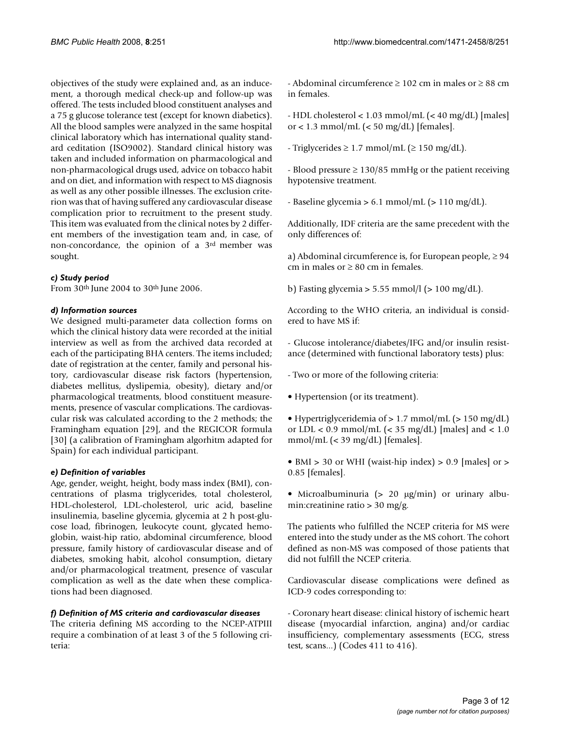objectives of the study were explained and, as an inducement, a thorough medical check-up and follow-up was offered. The tests included blood constituent analyses and a 75 g glucose tolerance test (except for known diabetics). All the blood samples were analyzed in the same hospital clinical laboratory which has international quality standard ceditation (ISO9002). Standard clinical history was taken and included information on pharmacological and non-pharmacological drugs used, advice on tobacco habit and on diet, and information with respect to MS diagnosis as well as any other possible illnesses. The exclusion criterion was that of having suffered any cardiovascular disease complication prior to recruitment to the present study. This item was evaluated from the clinical notes by 2 different members of the investigation team and, in case, of non-concordance, the opinion of a 3rd member was sought.

#### *c) Study period*

From 30th June 2004 to 30th June 2006.

#### *d) Information sources*

We designed multi-parameter data collection forms on which the clinical history data were recorded at the initial interview as well as from the archived data recorded at each of the participating BHA centers. The items included; date of registration at the center, family and personal history, cardiovascular disease risk factors (hypertension, diabetes mellitus, dyslipemia, obesity), dietary and/or pharmacological treatments, blood constituent measurements, presence of vascular complications. The cardiovascular risk was calculated according to the 2 methods; the Framingham equation [\[29\]](#page-11-5), and the REGICOR formula [[30](#page-11-6)] (a calibration of Framingham algorhitm adapted for Spain) for each individual participant.

#### *e) Definition of variables*

Age, gender, weight, height, body mass index (BMI), concentrations of plasma triglycerides, total cholesterol, HDL-cholesterol, LDL-cholesterol, uric acid, baseline insulinemia, baseline glycemia, glycemia at 2 h post-glucose load, fibrinogen, leukocyte count, glycated hemoglobin, waist-hip ratio, abdominal circumference, blood pressure, family history of cardiovascular disease and of diabetes, smoking habit, alcohol consumption, dietary and/or pharmacological treatment, presence of vascular complication as well as the date when these complications had been diagnosed.

#### *f) Definition of MS criteria and cardiovascular diseases*

The criteria defining MS according to the NCEP-ATPIII require a combination of at least 3 of the 5 following criteria:

- Abdominal circumference  $\geq 102$  cm in males or  $\geq 88$  cm in females.

- HDL cholesterol < 1.03 mmol/mL (< 40 mg/dL) [males] or < 1.3 mmol/mL ( $<$  50 mg/dL) [females].

- Triglycerides  $\geq 1.7$  mmol/mL ( $\geq 150$  mg/dL).

- Blood pressure  $\geq 130/85$  mmHg or the patient receiving hypotensive treatment.

- Baseline glycemia > 6.1 mmol/mL (> 110 mg/dL).

Additionally, IDF criteria are the same precedent with the only differences of:

a) Abdominal circumference is, for European people,  $\geq$  94 cm in males or  $\geq 80$  cm in females.

b) Fasting glycemia  $> 5.55$  mmol/l ( $> 100$  mg/dL).

According to the WHO criteria, an individual is considered to have MS if:

- Glucose intolerance/diabetes/IFG and/or insulin resistance (determined with functional laboratory tests) plus:

- Two or more of the following criteria:
- Hypertension (or its treatment).
- Hypertriglyceridemia of > 1.7 mmol/mL (> 150 mg/dL) or  $LDL < 0.9$  mmol/mL  $(< 35$  mg/dL) [males] and  $< 1.0$ mmol/mL (< 39 mg/dL) [females].
- BMI > 30 or WHI (waist-hip index) > 0.9 [males] or > 0.85 [females].
- Microalbuminuria (> 20 μg/min) or urinary albumin: creatinine ratio  $> 30$  mg/g.

The patients who fulfilled the NCEP criteria for MS were entered into the study under as the MS cohort. The cohort defined as non-MS was composed of those patients that did not fulfill the NCEP criteria.

Cardiovascular disease complications were defined as ICD-9 codes corresponding to:

- Coronary heart disease: clinical history of ischemic heart disease (myocardial infarction, angina) and/or cardiac insufficiency, complementary assessments (ECG, stress test, scans...) (Codes 411 to 416).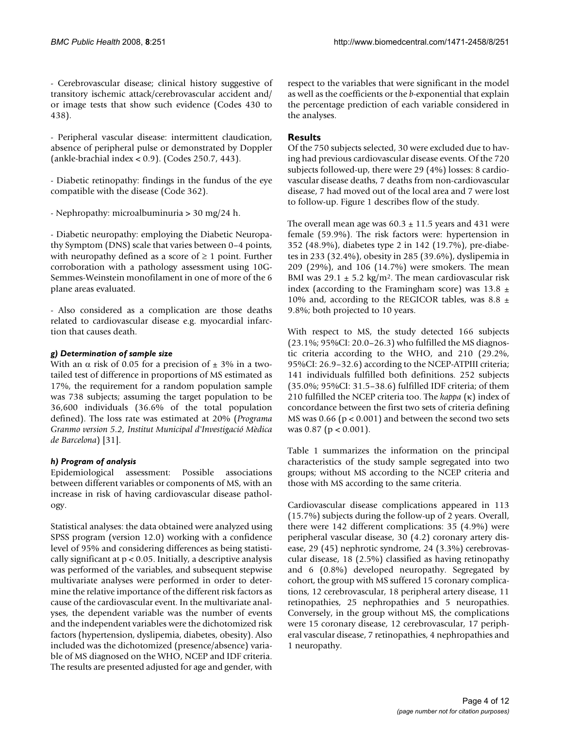- Cerebrovascular disease; clinical history suggestive of transitory ischemic attack/cerebrovascular accident and/ or image tests that show such evidence (Codes 430 to 438).

- Peripheral vascular disease: intermittent claudication, absence of peripheral pulse or demonstrated by Doppler (ankle-brachial index < 0.9). (Codes 250.7, 443).

- Diabetic retinopathy: findings in the fundus of the eye compatible with the disease (Code 362).

- Nephropathy: microalbuminuria > 30 mg/24 h.

- Diabetic neuropathy: employing the Diabetic Neuropathy Symptom (DNS) scale that varies between 0–4 points, with neuropathy defined as a score of  $\geq 1$  point. Further corroboration with a pathology assessment using 10G-Semmes-Weinstein monofilament in one of more of the 6 plane areas evaluated.

- Also considered as a complication are those deaths related to cardiovascular disease e.g. myocardial infarction that causes death.

#### *g) Determination of sample size*

With an  $\alpha$  risk of 0.05 for a precision of  $\pm$  3% in a twotailed test of difference in proportions of MS estimated as 17%, the requirement for a random population sample was 738 subjects; assuming the target population to be 36,600 individuals (36.6% of the total population defined). The loss rate was estimated at 20% (*Programa Granmo version 5.2, Institut Municipal d'Investigació Mèdica de Barcelona*) [\[31\]](#page-11-7).

#### *h) Program of analysis*

Epidemiological assessment: Possible associations between different variables or components of MS, with an increase in risk of having cardiovascular disease pathology.

Statistical analyses: the data obtained were analyzed using SPSS program (version 12.0) working with a confidence level of 95% and considering differences as being statistically significant at  $p < 0.05$ . Initially, a descriptive analysis was performed of the variables, and subsequent stepwise multivariate analyses were performed in order to determine the relative importance of the different risk factors as cause of the cardiovascular event. In the multivariate analyses, the dependent variable was the number of events and the independent variables were the dichotomized risk factors (hypertension, dyslipemia, diabetes, obesity). Also included was the dichotomized (presence/absence) variable of MS diagnosed on the WHO, NCEP and IDF criteria. The results are presented adjusted for age and gender, with

respect to the variables that were significant in the model as well as the coefficients or the *b*-exponential that explain the percentage prediction of each variable considered in the analyses.

#### **Results**

Of the 750 subjects selected, 30 were excluded due to having had previous cardiovascular disease events. Of the 720 subjects followed-up, there were 29 (4%) losses: 8 cardiovascular disease deaths, 7 deaths from non-cardiovascular disease, 7 had moved out of the local area and 7 were lost to follow-up. Figure [1](#page-4-0) describes flow of the study.

The overall mean age was  $60.3 \pm 11.5$  years and 431 were female (59.9%). The risk factors were: hypertension in 352 (48.9%), diabetes type 2 in 142 (19.7%), pre-diabetes in 233 (32.4%), obesity in 285 (39.6%), dyslipemia in 209 (29%), and 106 (14.7%) were smokers. The mean BMI was  $29.1 \pm 5.2$  kg/m<sup>2</sup>. The mean cardiovascular risk index (according to the Framingham score) was  $13.8 \pm$ 10% and, according to the REGICOR tables, was 8.8  $\pm$ 9.8%; both projected to 10 years.

With respect to MS, the study detected 166 subjects (23.1%; 95%CI: 20.0–26.3) who fulfilled the MS diagnostic criteria according to the WHO, and 210 (29.2%, 95%CI: 26.9–32.6) according to the NCEP-ATPIII criteria; 141 individuals fulfilled both definitions. 252 subjects (35.0%; 95%CI: 31.5–38.6) fulfilled IDF criteria; of them 210 fulfilled the NCEP criteria too. The *kappa* (κ) index of concordance between the first two sets of criteria defining MS was 0.66 (p < 0.001) and between the second two sets was 0.87 (p < 0.001).

Table [1](#page-5-0) summarizes the information on the principal characteristics of the study sample segregated into two groups; without MS according to the NCEP criteria and those with MS according to the same criteria.

Cardiovascular disease complications appeared in 113 (15.7%) subjects during the follow-up of 2 years. Overall, there were 142 different complications: 35 (4.9%) were peripheral vascular disease, 30 (4.2) coronary artery disease, 29 (45) nephrotic syndrome, 24 (3.3%) cerebrovascular disease, 18 (2.5%) classified as having retinopathy and 6 (0.8%) developed neuropathy. Segregated by cohort, the group with MS suffered 15 coronary complications, 12 cerebrovascular, 18 peripheral artery disease, 11 retinopathies, 25 nephropathies and 5 neuropathies. Conversely, in the group without MS, the complications were 15 coronary disease, 12 cerebrovascular, 17 peripheral vascular disease, 7 retinopathies, 4 nephropathies and 1 neuropathy.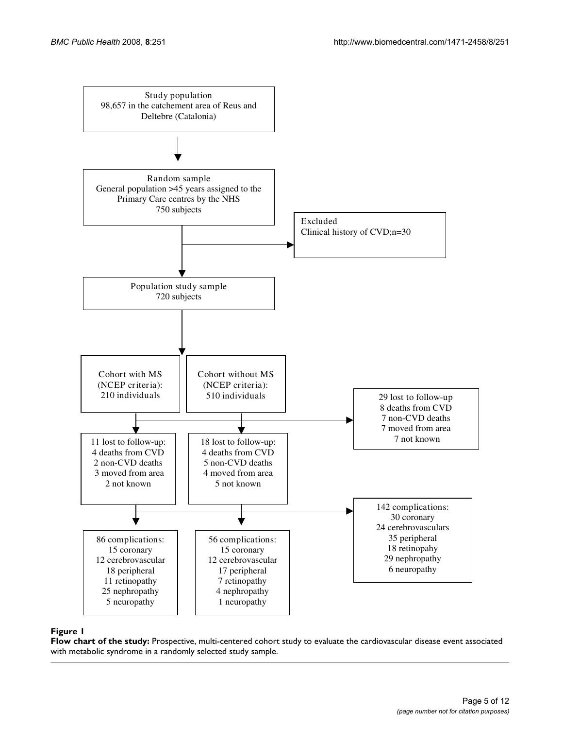<span id="page-4-0"></span>

#### metabolic syndrome in a randomly selected study sample **Figure 1** Flow chart of the study: Prospective, multi-centered cohort study to evaluate the cardiovascular disease event associated with

**Flow chart of the study:** Prospective, multi-centered cohort study to evaluate the cardiovascular disease event associated with metabolic syndrome in a randomly selected study sample.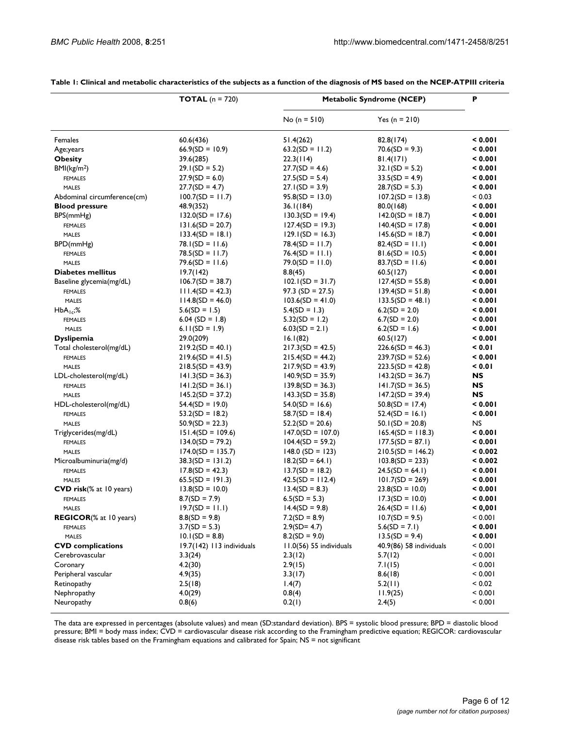|                                 | <b>TOTAL</b> ( $n = 720$ ) | <b>Metabolic Syndrome (NCEP)</b> |                         | P         |
|---------------------------------|----------------------------|----------------------------------|-------------------------|-----------|
|                                 |                            | No ( $n = 510$ )                 | Yes ( $n = 210$ )       |           |
| Females                         | 60.6(436)                  | 51.4(262)                        | 82.8(174)               | 0.001     |
| Age;years                       | $66.9(SD = 10.9)$          | $63.2(SD = 11.2)$                | $70.6(SD = 9.3)$        | 0.001     |
| <b>Obesity</b>                  | 39.6(285)                  | 22.3(114)                        | 81.4(171)               | < 0.001   |
| BMl(kg/m <sup>2</sup> )         | $29.1(SD = 5.2)$           | $27.7(SD = 4.6)$                 | $32.1(SD = 5.2)$        | 0.001     |
| <b>FEMALES</b>                  | $27.9(SD = 6.0)$           | $27.5(SD = 5.4)$                 | $33.5(SD = 4.9)$        | 0.001     |
| <b>MALES</b>                    | $27.7(SD = 4.7)$           | $27.1(SD = 3.9)$                 | $28.7(SD = 5.3)$        | 0.001     |
| Abdominal circumference(cm)     | $100.7(SD = 11.7)$         | $95.8(SD = 13.0)$                | $107.2(SD = 13.8)$      | < 0.03    |
| <b>Blood pressure</b>           | 48.9(352)                  | 36.1(184)                        | 80.0(168)               | 0.001     |
| BPS(mmHg)                       | $132.0(SD = 17.6)$         | $130.3(SD = 19.4)$               | $142.0(SD = 18.7)$      | 0.001     |
| <b>FEMALES</b>                  | $131.6(SD = 20.7)$         | $127.4(SD = 19.3)$               | $140.4(SD = 17.8)$      | 0.001     |
| <b>MALES</b>                    | $133.4(SD = 18.1)$         | $129.1(SD = 16.3)$               | $145.6(SD = 18.7)$      | 0.001     |
| BPD(mmHg)                       | $78.1(SD = 11.6)$          | $78.4(SD = 11.7)$                | $82.4(SD = 11.1)$       | 0.001     |
| <b>FEMALES</b>                  | $78.5(SD = 11.7)$          | $76.4(SD = 11.1)$                | $81.6(SD = 10.5)$       | 0.001     |
| <b>MALES</b>                    | $79.6(SD = 11.6)$          | $79.0(SD = 11.0)$                | $83.7(SD = 11.6)$       | 0.001     |
| <b>Diabetes mellitus</b>        | 19.7(142)                  | 8.8(45)                          | 60.5(127)               | 0.001     |
| Baseline glycemia(mg/dL)        | $106.7(SD = 38.7)$         | $102.1(SD = 31.7)$               | $127.4(SD = 55.8)$      | 0.001     |
| <b>FEMALES</b>                  | $111.4(SD = 42.3)$         | $97.3$ (SD = 27.5)               | $139.4(SD = 51.8)$      | < 0.001   |
| <b>MALES</b>                    | $114.8(SD = 46.0)$         | $103.6(SD = 41.0)$               | $133.5(SD = 48.1)$      | 0.001     |
|                                 | $5.6(SD = 1.5)$            | $5.4(SD = 1.3)$                  | $6.2(SD = 2.0)$         | 0.001     |
| $HbA_{1c}$ ;%<br><b>FEMALES</b> | $6.04$ (SD = 1.8)          | $5.32(SD = 1.2)$                 | $6.7(SD = 2.0)$         | 0.001     |
|                                 |                            | $6.03(SD = 2.1)$                 | $6.2(SD = 1.6)$         | 0.001     |
| <b>MALES</b>                    | 6.11(SD = 1.9)             |                                  |                         |           |
| <b>Dyslipemia</b>               | 29.0(209)                  | 16.1(82)                         | 60.5(127)               | 0.001     |
| Total cholesterol(mg/dL)        | $219.2(SD = 40.1)$         | $217.3(SD = 42.5)$               | $226.6(SD = 46.3)$      | 0.01      |
| <b>FEMALES</b>                  | $219.6(SD = 41.5)$         | $215.4(SD = 44.2)$               | $239.7(SD = 52.6)$      | < 0.001   |
| <b>MALES</b>                    | $218.5(SD = 43.9)$         | $217.9(SD = 43.9)$               | $223.5(SD = 42.8)$      | 0.01      |
| LDL-cholesterol(mg/dL)          | $141.3(SD = 36.3)$         | $140.9(SD = 35.9)$               | $143.2(SD = 36.7)$      | NS        |
| <b>FEMALES</b>                  | $141.2(SD = 36.1)$         | $139.8(SD = 36.3)$               | $141.7(SD = 36.5)$      | NS.       |
| <b>MALES</b>                    | $145.2(SD = 37.2)$         | $143.3(SD = 35.8)$               | $147.2(SD = 39.4)$      | NS        |
| HDL-cholesterol(mg/dL)          | $54.4(SD = 19.0)$          | $54.0(SD = 16.6)$                | $50.8(SD = 17.4)$       | 0.001     |
| <b>FEMALES</b>                  | $53.2(SD = 18.2)$          | $58.7(SD = 18.4)$                | $52.4(SD = 16.1)$       | 0.001     |
| <b>MALES</b>                    | $50.9(SD = 22.3)$          | $52.2(SD = 20.6)$                | $50.1(SD = 20.8)$       | <b>NS</b> |
| Triglycerides(mg/dL)            | $151.4(SD = 109.6)$        | $147.0(SD = 107.0)$              | $165.4(SD = 118.3)$     | < 0.001   |
| <b>FEMALES</b>                  | $134.0(SD = 79.2)$         | $104.4(SD = 59.2)$               | $177.5(SD = 87.1)$      | 0.001     |
| <b>MALES</b>                    | $174.0(SD = 135.7)$        | $148.0$ (SD = 123)               | $210.5(SD = 146.2)$     | < 0.002   |
| Microalbuminuria(mg/d)          | $38.3(SD = 131.2)$         | $18.2(SD = 64.1)$                | $103.8(SD = 233)$       | < 0.002   |
| <b>FEMALES</b>                  | $17.8(SD = 42.3)$          | $13.7(SD = 18.2)$                | $24.5(SD = 64.1)$       | 0.001     |
| <b>MALES</b>                    | $65.5(SD = 191.3)$         | $42.5(SD = 112.4)$               | $101.7(SD = 269)$       | 0.001     |
| CVD risk(% at 10 years)         | $13.8(SD = 10.0)$          | $13.4(SD = 8.3)$                 | $23.8(SD = 10.0)$       | 0.001     |
| <b>FEMALES</b>                  | $8.7(SD = 7.9)$            | $6.5(SD = 5.3)$                  | $17.3(SD = 10.0)$       | < 0.001   |
| <b>MALES</b>                    | $19.7(SD = 11.1)$          | $14.4(SD = 9.8)$                 | $26.4(SD = 11.6)$       | 0.001     |
| <b>REGICOR(%</b> at 10 years)   | $8.8(SD = 9.8)$            | $7.2(SD = 8.9)$                  | $10.7(SD = 9.5)$        | < 0.001   |
| <b>FEMALES</b>                  | $3.7(SD = 5.3)$            | $2.9(SD = 4.7)$                  | $5.6(SD = 7.1)$         | < 0.001   |
| <b>MALES</b>                    | $10.1(SD = 8.8)$           | $8.2(SD = 9.0)$                  | $13.5(SD = 9.4)$        | 0.001     |
| <b>CVD</b> complications        | 19.7(142) 113 individuals  | 11.0(56) 55 individuals          | 40.9(86) 58 individuals | < 0.001   |
| Cerebrovascular                 | 3.3(24)                    | 2.3(12)                          | 5.7(12)                 | < 0.001   |
| Coronary                        | 4.2(30)                    | 2.9(15)                          | 7.1(15)                 | < 0.001   |
| Peripheral vascular             | 4.9(35)                    | 3.3(17)                          | 8.6(18)                 | < 0.001   |
| Retinopathy                     | 2.5(18)                    | 1.4(7)                           | 5.2(11)                 | < 0.02    |
| Nephropathy                     | 4.0(29)                    | 0.8(4)                           | 11.9(25)                | < 0.001   |
| Neuropathy                      | 0.8(6)                     | 0.2(1)                           | 2.4(5)                  | < 0.001   |
|                                 |                            |                                  |                         |           |

<span id="page-5-0"></span>**Table 1: Clinical and metabolic characteristics of the subjects as a function of the diagnosis of MS based on the NCEP-ATPIII criteria**

The data are expressed in percentages (absolute values) and mean (SD:standard deviation). BPS = systolic blood pressure; BPD = diastolic blood pressure; BMI = body mass index; CVD = cardiovascular disease risk according to the Framingham predictive equation; REGICOR: cardiovascular disease risk tables based on the Framingham equations and calibrated for Spain; NS = not significant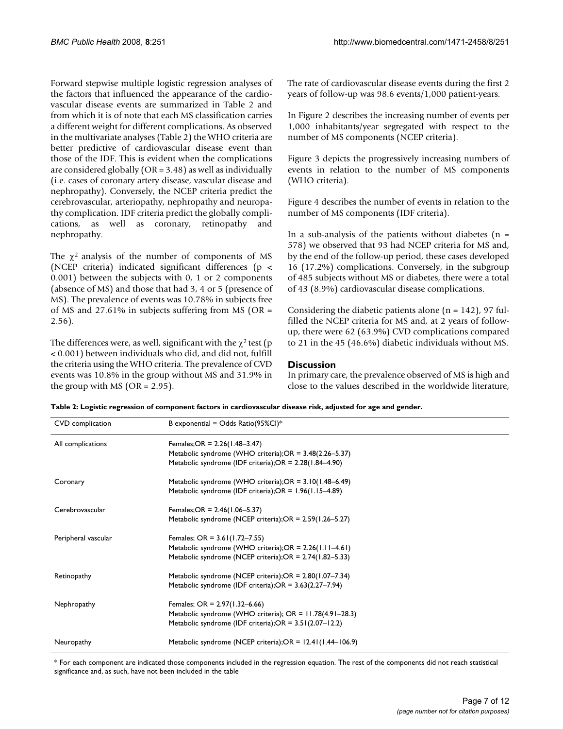Forward stepwise multiple logistic regression analyses of the factors that influenced the appearance of the cardiovascular disease events are summarized in Table [2](#page-6-0) and from which it is of note that each MS classification carries a different weight for different complications. As observed in the multivariate analyses (Table [2\)](#page-6-0) the WHO criteria are better predictive of cardiovascular disease event than those of the IDF. This is evident when the complications are considered globally (OR = 3.48) as well as individually (i.e. cases of coronary artery disease, vascular disease and nephropathy). Conversely, the NCEP criteria predict the cerebrovascular, arteriopathy, nephropathy and neuropathy complication. IDF criteria predict the globally complications, as well as coronary, retinopathy and nephropathy.

The  $\chi^2$  analysis of the number of components of MS (NCEP criteria) indicated significant differences (p < 0.001) between the subjects with 0, 1 or 2 components (absence of MS) and those that had 3, 4 or 5 (presence of MS). The prevalence of events was 10.78% in subjects free of MS and 27.61% in subjects suffering from MS (OR  $=$ 2.56).

The differences were, as well, significant with the  $\chi^2$  test (p < 0.001) between individuals who did, and did not, fulfill the criteria using the WHO criteria. The prevalence of CVD events was 10.8% in the group without MS and 31.9% in the group with MS ( $OR = 2.95$ ).

The rate of cardiovascular disease events during the first 2 years of follow-up was 98.6 events/1,000 patient-years.

In Figure [2](#page-7-0) describes the increasing number of events per 1,000 inhabitants/year segregated with respect to the number of MS components (NCEP criteria).

Figure [3](#page-8-0) depicts the progressively increasing numbers of events in relation to the number of MS components (WHO criteria).

Figure [4](#page-9-0) describes the number of events in relation to the number of MS components (IDF criteria).

In a sub-analysis of the patients without diabetes ( $n =$ 578) we observed that 93 had NCEP criteria for MS and, by the end of the follow-up period, these cases developed 16 (17.2%) complications. Conversely, in the subgroup of 485 subjects without MS or diabetes, there were a total of 43 (8.9%) cardiovascular disease complications.

Considering the diabetic patients alone  $(n = 142)$ , 97 fulfilled the NCEP criteria for MS and, at 2 years of followup, there were 62 (63.9%) CVD complications compared to 21 in the 45 (46.6%) diabetic individuals without MS.

#### **Discussion**

In primary care, the prevalence observed of MS is high and close to the values described in the worldwide literature,

<span id="page-6-0"></span>

|  |  | Table 2: Logistic regression of component factors in cardiovascular disease risk, adjusted for age and gender. |
|--|--|----------------------------------------------------------------------------------------------------------------|
|--|--|----------------------------------------------------------------------------------------------------------------|

| CVD complication    | B exponential = Odds Ratio(95%Cl)*                          |
|---------------------|-------------------------------------------------------------|
| All complications   | Females; OR = $2.26(1.48-3.47)$                             |
|                     | Metabolic syndrome (WHO criteria);OR = 3.48(2.26–5.37)      |
|                     | Metabolic syndrome (IDF criteria);OR = 2.28(1.84-4.90)      |
| Coronary            | Metabolic syndrome (WHO criteria);OR = 3.10(1.48-6.49)      |
|                     | Metabolic syndrome (IDF criteria); $OR = 1.96(1.15-4.89)$   |
| Cerebrovascular     | Females; OR = $2.46(1.06 - 5.37)$                           |
|                     | Metabolic syndrome (NCEP criteria);OR = 2.59(1.26–5.27)     |
| Peripheral vascular | Females; OR = $3.61(1.72 - 7.55)$                           |
|                     | Metabolic syndrome (WHO criteria);OR = 2.26(1.11-4.61)      |
|                     | Metabolic syndrome (NCEP criteria);OR = 2.74(1.82–5.33)     |
| Retinopathy         | Metabolic syndrome (NCEP criteria);OR = 2.80(1.07-7.34)     |
|                     | Metabolic syndrome (IDF criteria); $OR = 3.63(2.27 - 7.94)$ |
| Nephropathy         | Females; OR = $2.97(1.32-6.66)$                             |
|                     | Metabolic syndrome (WHO criteria); OR = 11.78(4.91-28.3)    |
|                     | Metabolic syndrome (IDF criteria); $OR = 3.51(2.07 - 12.2)$ |
| Neuropathy          | Metabolic syndrome (NCEP criteria);OR = 12.41(1.44–106.9)   |

\* For each component are indicated those components included in the regression equation. The rest of the components did not reach statistical significance and, as such, have not been included in the table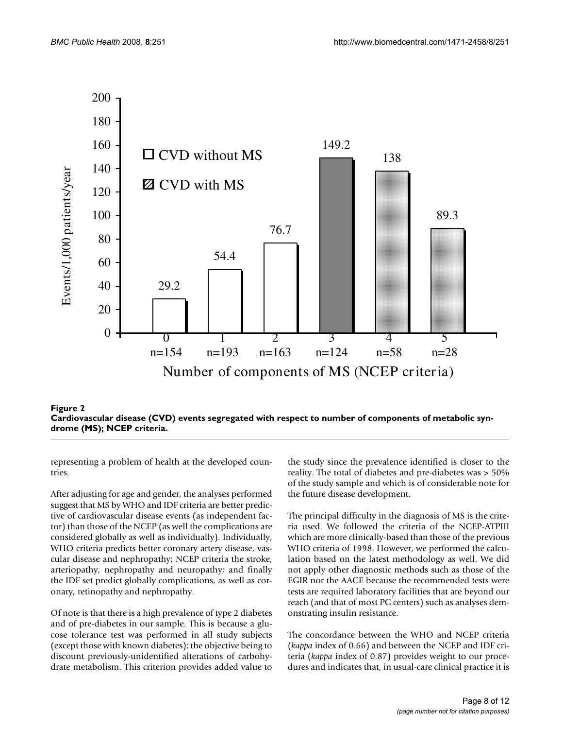<span id="page-7-0"></span>

criteria **Figure 2** Cardiovascular disease (CVD) events segregated with respect to number of components of metabolic syndrome (MS); NCEP **Cardiovascular disease (CVD) events segregated with respect to number of components of metabolic syndrome (MS); NCEP criteria.**

representing a problem of health at the developed countries.

After adjusting for age and gender, the analyses performed suggest that MS by WHO and IDF criteria are better predictive of cardiovascular disease events (as independent factor) than those of the NCEP (as well the complications are considered globally as well as individually). Individually, WHO criteria predicts better coronary artery disease, vascular disease and nephropathy; NCEP criteria the stroke, arteriopathy, nephropathy and neuropathy; and finally the IDF set predict globally complications, as well as coronary, retinopathy and nephropathy.

Of note is that there is a high prevalence of type 2 diabetes and of pre-diabetes in our sample. This is because a glucose tolerance test was performed in all study subjects (except those with known diabetes); the objective being to discount previously-unidentified alterations of carbohydrate metabolism. This criterion provides added value to the study since the prevalence identified is closer to the reality. The total of diabetes and pre-diabetes was > 50% of the study sample and which is of considerable note for the future disease development.

The principal difficulty in the diagnosis of MS is the criteria used. We followed the criteria of the NCEP-ATPIII which are more clinically-based than those of the previous WHO criteria of 1998. However, we performed the calculation based on the latest methodology as well. We did not apply other diagnostic methods such as those of the EGIR nor the AACE because the recommended tests were tests are required laboratory facilities that are beyond our reach (and that of most PC centers) such as analyses demonstrating insulin resistance.

The concordance between the WHO and NCEP criteria (*kappa* index of 0.66) and between the NCEP and IDF criteria (*kappa* index of 0.87) provides weight to our procedures and indicates that, in usual-care clinical practice it is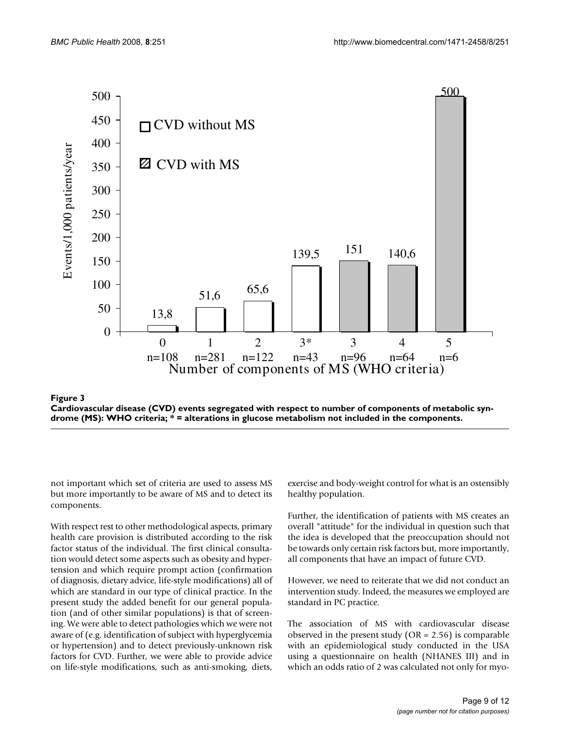<span id="page-8-0"></span>



not important which set of criteria are used to assess MS but more importantly to be aware of MS and to detect its components.

With respect rest to other methodological aspects, primary health care provision is distributed according to the risk factor status of the individual. The first clinical consultation would detect some aspects such as obesity and hypertension and which require prompt action (confirmation of diagnosis, dietary advice, life-style modifications) all of which are standard in our type of clinical practice. In the present study the added benefit for our general population (and of other similar populations) is that of screening. We were able to detect pathologies which we were not aware of (e.g. identification of subject with hyperglycemia or hypertension) and to detect previously-unknown risk factors for CVD. Further, we were able to provide advice on life-style modifications, such as anti-smoking, diets,

exercise and body-weight control for what is an ostensibly healthy population.

Further, the identification of patients with MS creates an overall "attitude" for the individual in question such that the idea is developed that the preoccupation should not be towards only certain risk factors but, more importantly, all components that have an impact of future CVD.

However, we need to reiterate that we did not conduct an intervention study. Indeed, the measures we employed are standard in PC practice.

The association of MS with cardiovascular disease observed in the present study ( $OR = 2.56$ ) is comparable with an epidemiological study conducted in the USA using a questionnaire on health (NHANES III) and in which an odds ratio of 2 was calculated not only for myo-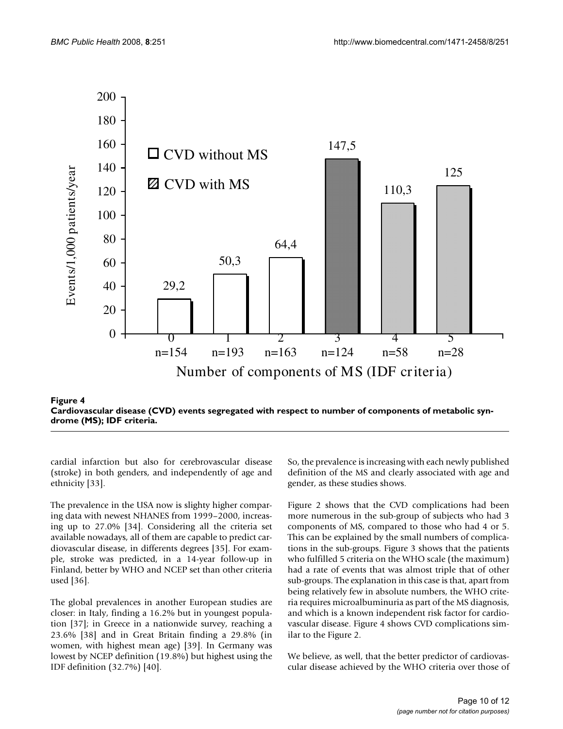<span id="page-9-0"></span>

teria **Figure 4** Cardiovascular disease (CVD) events segregated with respect to number of components of metabolic syndrome (MS); IDF cri-**Cardiovascular disease (CVD) events segregated with respect to number of components of metabolic syndrome (MS); IDF criteria.**

cardial infarction but also for cerebrovascular disease (stroke) in both genders, and independently of age and ethnicity [[33\]](#page-11-8).

The prevalence in the USA now is slighty higher comparing data with newest NHANES from 1999–2000, increasing up to 27.0% [[34\]](#page-11-9). Considering all the criteria set available nowadays, all of them are capable to predict cardiovascular disease, in differents degrees [[35\]](#page-11-10). For example, stroke was predicted, in a 14-year follow-up in Finland, better by WHO and NCEP set than other criteria used [[36](#page-11-11)].

The global prevalences in another European studies are closer: in Italy, finding a 16.2% but in youngest population [[37\]](#page-11-12); in Greece in a nationwide survey, reaching a 23.6% [[38\]](#page-11-13) and in Great Britain finding a 29.8% (in women, with highest mean age) [[39\]](#page-11-14). In Germany was lowest by NCEP definition (19.8%) but highest using the IDF definition (32.7%) [\[40\]](#page-11-15).

So, the prevalence is increasing with each newly published definition of the MS and clearly associated with age and gender, as these studies shows.

Figure [2](#page-7-0) shows that the CVD complications had been more numerous in the sub-group of subjects who had 3 components of MS, compared to those who had 4 or 5. This can be explained by the small numbers of complications in the sub-groups. Figure [3](#page-8-0) shows that the patients who fulfilled 5 criteria on the WHO scale (the maximum) had a rate of events that was almost triple that of other sub-groups. The explanation in this case is that, apart from being relatively few in absolute numbers, the WHO criteria requires microalbuminuria as part of the MS diagnosis, and which is a known independent risk factor for cardiovascular disease. Figure [4](#page-9-0) shows CVD complications similar to the Figure [2](#page-7-0).

We believe, as well, that the better predictor of cardiovascular disease achieved by the WHO criteria over those of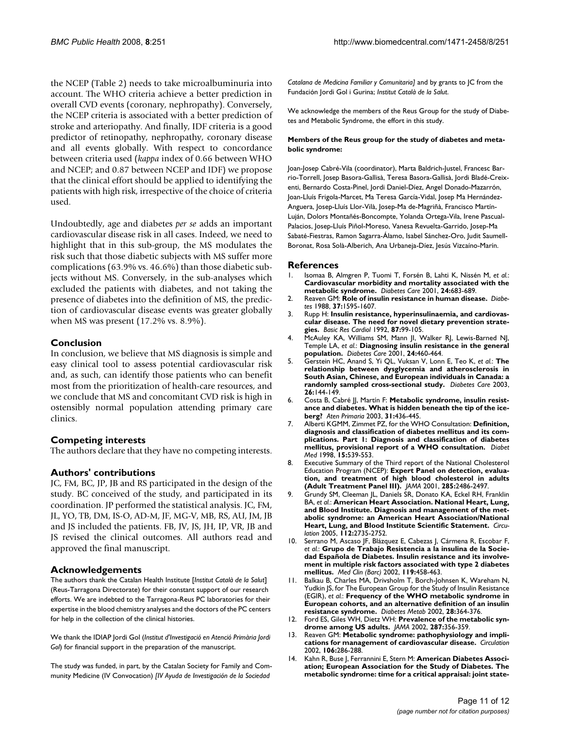the NCEP (Table [2\)](#page-6-0) needs to take microalbuminuria into account. The WHO criteria achieve a better prediction in overall CVD events (coronary, nephropathy). Conversely, the NCEP criteria is associated with a better prediction of stroke and arteriopathy. And finally, IDF criteria is a good predictor of retinopathy, nephropathy, coronary disease and all events globally. With respect to concordance between criteria used (*kappa* index of 0.66 between WHO and NCEP; and 0.87 between NCEP and IDF) we propose that the clinical effort should be applied to identifying the patients with high risk, irrespective of the choice of criteria used.

Undoubtedly, age and diabetes *per se* adds an important cardiovascular disease risk in all cases. Indeed, we need to highlight that in this sub-group, the MS modulates the risk such that those diabetic subjects with MS suffer more complications (63.9% vs. 46.6%) than those diabetic subjects without MS. Conversely, in the sub-analyses which excluded the patients with diabetes, and not taking the presence of diabetes into the definition of MS, the prediction of cardiovascular disease events was greater globally when MS was present (17.2% vs. 8.9%).

#### **Conclusion**

In conclusion, we believe that MS diagnosis is simple and easy clinical tool to assess potential cardiovascular risk and, as such, can identify those patients who can benefit most from the prioritization of health-care resources, and we conclude that MS and concomitant CVD risk is high in ostensibly normal population attending primary care clinics.

#### **Competing interests**

The authors declare that they have no competing interests.

#### **Authors' contributions**

JC, FM, BC, JP, JB and RS participated in the design of the study. BC conceived of the study, and participated in its coordination. JP performed the statistical analysis. JC, FM, JL, YO, TB, DM, IS-O, AD-M, JF, MG-V, MB, RS, AU, JM, JB and JS included the patients. FB, JV, JS, JH, IP, VR, JB and JS revised the clinical outcomes. All authors read and approved the final manuscript.

#### **Acknowledgements**

The authors thank the Catalan Health Institute [*Institut Català de la Salut*] (Reus-Tarragona Directorate) for their constant support of our research efforts. We are indebted to the Tarragona-Reus PC laboratories for their expertise in the blood chemistry analyses and the doctors of the PC centers for help in the collection of the clinical histories.

We thank the IDIAP Jordi Gol (*Institut d'Investigació en Atenció Primària Jordi Gol*) for financial support in the preparation of the manuscript.

The study was funded, in part, by the Catalan Society for Family and Community Medicine (IV Convocation) *[IV Ayuda de Investigación de la Sociedad* 

*Catalana de Medicina Familiar y Comunitaria]* and by grants to JC from the Fundación Jordi Gol i Gurina; *Institut Català de la Salut*.

We acknowledge the members of the Reus Group for the study of Diabetes and Metabolic Syndrome, the effort in this study.

#### **Members of the Reus group for the study of diabetes and metabolic syndrome:**

Joan-Josep Cabré-Vila (coordinator), Marta Baldrich-Justel, Francesc Barrio-Torrell, Josep Basora-Gallisà, Teresa Basora-Gallisà, Jordi Bladé-Creixenti, Bernardo Costa-Pinel, Jordi Daniel-Díez, Angel Donado-Mazarrón, Joan-Lluís Frigola-Marcet, Ma Teresa García-Vidal, Josep Ma Hernández-Anguera, Josep-Lluís Llor-Vilà, Josep-Ma de-Magriñà, Francisco Martín-Luján, Dolors Montañés-Boncompte, Yolanda Ortega-Vila, Irene Pascual-Palacios, Josep-Lluís Piñol-Moreso, Vanesa Revuelta-Garrido, Josep-Ma Sabaté-Fiestras, Ramon Sagarra-Álamo, Isabel Sánchez-Oro, Judit Saumell-Boronat, Rosa Solà-Alberich, Ana Urbaneja-Díez, Jesús Vizcaíno-Marín.

#### **References**

- <span id="page-10-0"></span>1. Isomaa B, Almgren P, Tuomi T, Forsén B, Lahti K, Nissén M, *et al.*: **[Cardiovascular morbidity and mortality associated with the](http://www.ncbi.nlm.nih.gov/entrez/query.fcgi?cmd=Retrieve&db=PubMed&dopt=Abstract&list_uids=11315831) [metabolic syndrome.](http://www.ncbi.nlm.nih.gov/entrez/query.fcgi?cmd=Retrieve&db=PubMed&dopt=Abstract&list_uids=11315831)** *Diabetes Care* 2001, **24:**683-689.
- <span id="page-10-1"></span>2. Reaven GM: **[Role of insulin resistance in human disease.](http://www.ncbi.nlm.nih.gov/entrez/query.fcgi?cmd=Retrieve&db=PubMed&dopt=Abstract&list_uids=3056758)** *Diabetes* 1988, **37:**1595-1607.
- <span id="page-10-2"></span>3. Rupp H: **[Insulin resistance, hyperinsulinaemia, and cardiovas](http://www.ncbi.nlm.nih.gov/entrez/query.fcgi?cmd=Retrieve&db=PubMed&dopt=Abstract&list_uids=1590742)[cular disease. The need for novel dietary prevention strate](http://www.ncbi.nlm.nih.gov/entrez/query.fcgi?cmd=Retrieve&db=PubMed&dopt=Abstract&list_uids=1590742)[gies.](http://www.ncbi.nlm.nih.gov/entrez/query.fcgi?cmd=Retrieve&db=PubMed&dopt=Abstract&list_uids=1590742)** *Basic Res Cardiol* 1992, **87:**99-105.
- <span id="page-10-3"></span>4. McAuley KA, Williams SM, Mann JI, Walker RJ, Lewis-Barned NJ, Temple LA, *et al.*: **[Diagnosing insulin resistance in the general](http://www.ncbi.nlm.nih.gov/entrez/query.fcgi?cmd=Retrieve&db=PubMed&dopt=Abstract&list_uids=11289468) [population.](http://www.ncbi.nlm.nih.gov/entrez/query.fcgi?cmd=Retrieve&db=PubMed&dopt=Abstract&list_uids=11289468)** *Diabetes Care* 2001, **24:**460-464.
- 5. Gerstein HC, Anand S, Yi QL, Vuksan V, Lonn E, Teo K, *et al.*: **[The](http://www.ncbi.nlm.nih.gov/entrez/query.fcgi?cmd=Retrieve&db=PubMed&dopt=Abstract&list_uids=12502671) [relationship between dysglycemia and atherosclerosis in](http://www.ncbi.nlm.nih.gov/entrez/query.fcgi?cmd=Retrieve&db=PubMed&dopt=Abstract&list_uids=12502671) South Asian, Chinese, and European individuals in Canada: a [randomly sampled cross-sectional study.](http://www.ncbi.nlm.nih.gov/entrez/query.fcgi?cmd=Retrieve&db=PubMed&dopt=Abstract&list_uids=12502671)** *Diabetes Care* 2003, **26:**144-149.
- <span id="page-10-4"></span>6. Costa B, Cabré JJ, Martín F: **[Metabolic syndrome, insulin resist](http://www.ncbi.nlm.nih.gov/entrez/query.fcgi?cmd=Retrieve&db=PubMed&dopt=Abstract&list_uids=12735887)[ance and diabetes. What is hidden beneath the tip of the ice](http://www.ncbi.nlm.nih.gov/entrez/query.fcgi?cmd=Retrieve&db=PubMed&dopt=Abstract&list_uids=12735887)[berg?](http://www.ncbi.nlm.nih.gov/entrez/query.fcgi?cmd=Retrieve&db=PubMed&dopt=Abstract&list_uids=12735887)** *Aten Primaria* 2003, **31:**436-445.
- <span id="page-10-5"></span>7. Alberti KGMM, Zimmet PZ, for the WHO Consultation: **[Definition,](http://www.ncbi.nlm.nih.gov/entrez/query.fcgi?cmd=Retrieve&db=PubMed&dopt=Abstract&list_uids=9686693) [diagnosis and classification of diabetes mellitus and its com](http://www.ncbi.nlm.nih.gov/entrez/query.fcgi?cmd=Retrieve&db=PubMed&dopt=Abstract&list_uids=9686693)plications. Part 1: Diagnosis and classification of diabetes [mellitus, provisional report of a WHO consultation.](http://www.ncbi.nlm.nih.gov/entrez/query.fcgi?cmd=Retrieve&db=PubMed&dopt=Abstract&list_uids=9686693)** *Diabet Med* 1998, **15:**539-553.
- <span id="page-10-6"></span>8. Executive Summary of the Third report of the National Cholesterol Education Program (NCEP): **[Expert Panel on detection, evalua](http://www.ncbi.nlm.nih.gov/entrez/query.fcgi?cmd=Retrieve&db=PubMed&dopt=Abstract&list_uids=11368702)[tion, and treatment of high blood cholesterol in adults](http://www.ncbi.nlm.nih.gov/entrez/query.fcgi?cmd=Retrieve&db=PubMed&dopt=Abstract&list_uids=11368702) [\(Adult Treatment Panel III\).](http://www.ncbi.nlm.nih.gov/entrez/query.fcgi?cmd=Retrieve&db=PubMed&dopt=Abstract&list_uids=11368702)** *JAMA* 2001, **285:**2486-2497.
- <span id="page-10-7"></span>9. Grundy SM, Cleeman JL, Daniels SR, Donato KA, Eckel RH, Franklin BA, *et al.*: **[American Heart Association. National Heart, Lung,](http://www.ncbi.nlm.nih.gov/entrez/query.fcgi?cmd=Retrieve&db=PubMed&dopt=Abstract&list_uids=16157765) [and Blood Institute. Diagnosis and management of the met](http://www.ncbi.nlm.nih.gov/entrez/query.fcgi?cmd=Retrieve&db=PubMed&dopt=Abstract&list_uids=16157765)abolic syndrome: an American Heart Association/National [Heart, Lung, and Blood Institute Scientific Statement.](http://www.ncbi.nlm.nih.gov/entrez/query.fcgi?cmd=Retrieve&db=PubMed&dopt=Abstract&list_uids=16157765)** *Circulation* 2005, **112:**2735-2752.
- <span id="page-10-8"></span>10. Serrano M, Ascaso JF, Blázquez E, Cabezas J, Cármena R, Escobar F, *et al.*: **[Grupo de Trabajo Resistencia a la insulina de la Socie](http://www.ncbi.nlm.nih.gov/entrez/query.fcgi?cmd=Retrieve&db=PubMed&dopt=Abstract&list_uids=12385655)[dad Española de Diabetes. Insulin resistance and its involve](http://www.ncbi.nlm.nih.gov/entrez/query.fcgi?cmd=Retrieve&db=PubMed&dopt=Abstract&list_uids=12385655)ment in multiple risk factors associated with type 2 diabetes [mellitus.](http://www.ncbi.nlm.nih.gov/entrez/query.fcgi?cmd=Retrieve&db=PubMed&dopt=Abstract&list_uids=12385655)** *Med Clin (Barc)* 2002, **119:**458-463.
- Balkau B, Charles MA, Drivsholm T, Borch-Johnsen K, Wareham N, Yudkin JS, for The European Group for the Study of Insulin Resistance (EGIR), *et al.*: **[Frequency of the WHO metabolic syndrome in](http://www.ncbi.nlm.nih.gov/entrez/query.fcgi?cmd=Retrieve&db=PubMed&dopt=Abstract&list_uids=12461473) [European cohorts, and an alternative definition of an insulin](http://www.ncbi.nlm.nih.gov/entrez/query.fcgi?cmd=Retrieve&db=PubMed&dopt=Abstract&list_uids=12461473) [resistance syndrome.](http://www.ncbi.nlm.nih.gov/entrez/query.fcgi?cmd=Retrieve&db=PubMed&dopt=Abstract&list_uids=12461473)** *Diabetes Metab* 2002, **28:**364-376.
- <span id="page-10-9"></span>12. Ford ES, Giles WH, Dietz WH: **[Prevalence of the metabolic syn](http://www.ncbi.nlm.nih.gov/entrez/query.fcgi?cmd=Retrieve&db=PubMed&dopt=Abstract&list_uids=11790215)[drome among US adults.](http://www.ncbi.nlm.nih.gov/entrez/query.fcgi?cmd=Retrieve&db=PubMed&dopt=Abstract&list_uids=11790215)** *JAMA* 2002, **287:**356-359.
- <span id="page-10-10"></span>13. Reaven GM: **[Metabolic syndrome: pathophysiology and impli](http://www.ncbi.nlm.nih.gov/entrez/query.fcgi?cmd=Retrieve&db=PubMed&dopt=Abstract&list_uids=12119239)[cations for management of cardiovascular disease.](http://www.ncbi.nlm.nih.gov/entrez/query.fcgi?cmd=Retrieve&db=PubMed&dopt=Abstract&list_uids=12119239)** *Circulation* 2002, **106:**286-288.
- <span id="page-10-11"></span>14. Kahn R, Buse J, Ferrannini E, Stern M: **[American Diabetes Associ](http://www.ncbi.nlm.nih.gov/entrez/query.fcgi?cmd=Retrieve&db=PubMed&dopt=Abstract&list_uids=16123508)[ation; European Association for the Study of Diabetes. The](http://www.ncbi.nlm.nih.gov/entrez/query.fcgi?cmd=Retrieve&db=PubMed&dopt=Abstract&list_uids=16123508) [metabolic syndrome: time for a critical appraisal: joint state](http://www.ncbi.nlm.nih.gov/entrez/query.fcgi?cmd=Retrieve&db=PubMed&dopt=Abstract&list_uids=16123508)-**